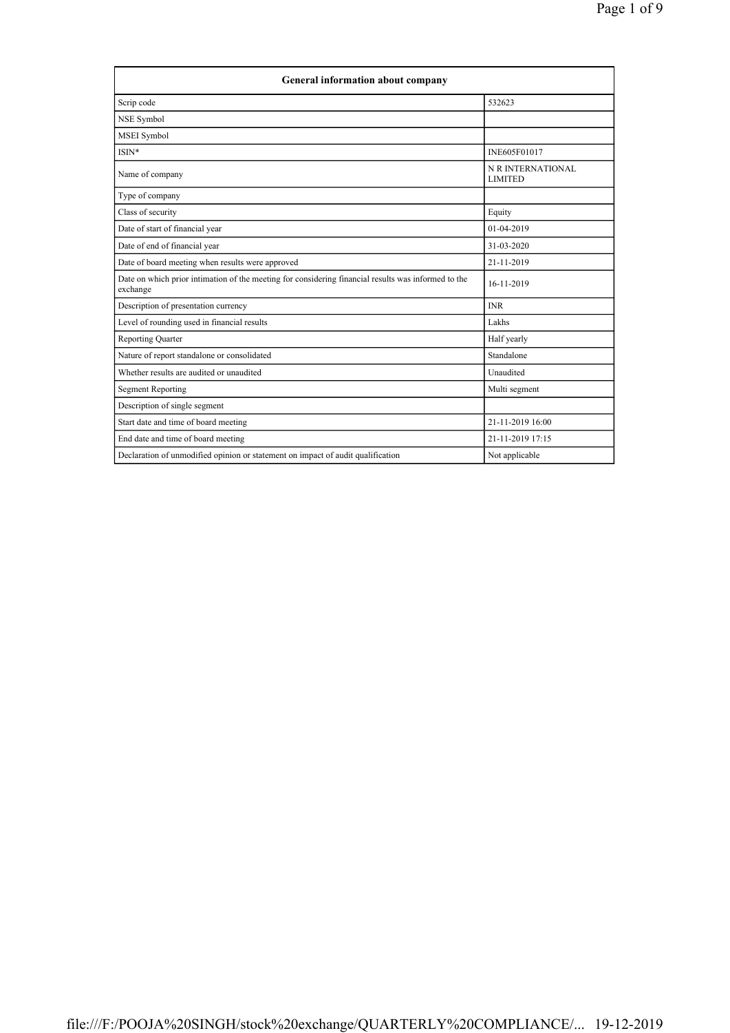| <b>General information about company</b>                                                                        |                                     |  |
|-----------------------------------------------------------------------------------------------------------------|-------------------------------------|--|
| Scrip code                                                                                                      | 532623                              |  |
| NSE Symbol                                                                                                      |                                     |  |
| MSEI Symbol                                                                                                     |                                     |  |
| ISIN*                                                                                                           | INE605F01017                        |  |
| Name of company                                                                                                 | N R INTERNATIONAL<br><b>LIMITED</b> |  |
| Type of company                                                                                                 |                                     |  |
| Class of security                                                                                               | Equity                              |  |
| Date of start of financial year                                                                                 | 01-04-2019                          |  |
| Date of end of financial year                                                                                   | 31-03-2020                          |  |
| Date of board meeting when results were approved                                                                | 21-11-2019                          |  |
| Date on which prior intimation of the meeting for considering financial results was informed to the<br>exchange | 16-11-2019                          |  |
| Description of presentation currency                                                                            | <b>INR</b>                          |  |
| Level of rounding used in financial results                                                                     | Lakhs                               |  |
| <b>Reporting Quarter</b>                                                                                        | Half yearly                         |  |
| Nature of report standalone or consolidated                                                                     | Standalone                          |  |
| Whether results are audited or unaudited                                                                        | Unaudited                           |  |
| <b>Segment Reporting</b>                                                                                        | Multi segment                       |  |
| Description of single segment                                                                                   |                                     |  |
| Start date and time of board meeting                                                                            | 21-11-2019 16:00                    |  |
| End date and time of board meeting                                                                              | 21-11-2019 17:15                    |  |
| Declaration of unmodified opinion or statement on impact of audit qualification                                 | Not applicable                      |  |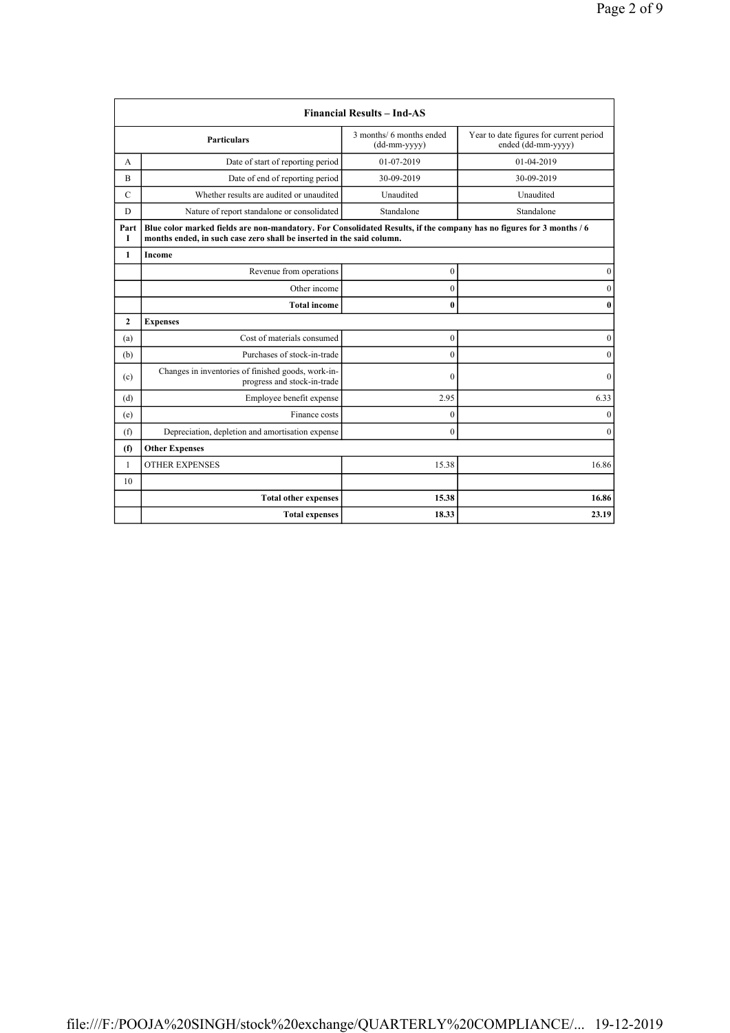|                |                                                                                                                                                                                               | <b>Financial Results - Ind-AS</b>        |                                                               |
|----------------|-----------------------------------------------------------------------------------------------------------------------------------------------------------------------------------------------|------------------------------------------|---------------------------------------------------------------|
|                | <b>Particulars</b>                                                                                                                                                                            | 3 months/ 6 months ended<br>(dd-mm-yyyy) | Year to date figures for current period<br>ended (dd-mm-yyyy) |
| А              | Date of start of reporting period                                                                                                                                                             | 01-07-2019                               | 01-04-2019                                                    |
| B              | Date of end of reporting period                                                                                                                                                               | 30-09-2019                               | 30-09-2019                                                    |
| $\mathcal{C}$  | Whether results are audited or unaudited                                                                                                                                                      | Unaudited                                | Unaudited                                                     |
| D              | Nature of report standalone or consolidated                                                                                                                                                   | Standalone                               | Standalone                                                    |
| Part<br>Т      | Blue color marked fields are non-mandatory. For Consolidated Results, if the company has no figures for 3 months / 6<br>months ended, in such case zero shall be inserted in the said column. |                                          |                                                               |
| 1              | Income                                                                                                                                                                                        |                                          |                                                               |
|                | Revenue from operations                                                                                                                                                                       | $\mathbf{0}$                             | $\mathbf{0}$                                                  |
|                | Other income                                                                                                                                                                                  | $\mathbf{0}$                             | $\mathbf{0}$                                                  |
|                | <b>Total income</b>                                                                                                                                                                           | $\bf{0}$                                 | $\bf{0}$                                                      |
| $\overline{2}$ | <b>Expenses</b>                                                                                                                                                                               |                                          |                                                               |
| (a)            | Cost of materials consumed                                                                                                                                                                    | $\boldsymbol{0}$                         | $\boldsymbol{0}$                                              |
| (b)            | Purchases of stock-in-trade                                                                                                                                                                   | $\mathbf{0}$                             | $\mathbf{0}$                                                  |
| (c)            | Changes in inventories of finished goods, work-in-<br>progress and stock-in-trade                                                                                                             | $\mathbf{0}$                             | $\mathbf{0}$                                                  |
| (d)            | Employee benefit expense                                                                                                                                                                      | 2.95                                     | 6.33                                                          |
| (e)            | Finance costs                                                                                                                                                                                 | $\theta$                                 | $\theta$                                                      |
| (f)            | Depreciation, depletion and amortisation expense                                                                                                                                              | $\mathbf{0}$                             | $\theta$                                                      |
| (f)            | <b>Other Expenses</b>                                                                                                                                                                         |                                          |                                                               |
| $\mathbf{1}$   | <b>OTHER EXPENSES</b>                                                                                                                                                                         | 15.38                                    | 16.86                                                         |
| 10             |                                                                                                                                                                                               |                                          |                                                               |
|                | <b>Total other expenses</b>                                                                                                                                                                   | 15.38                                    | 16.86                                                         |
|                | <b>Total expenses</b>                                                                                                                                                                         | 18.33                                    | 23.19                                                         |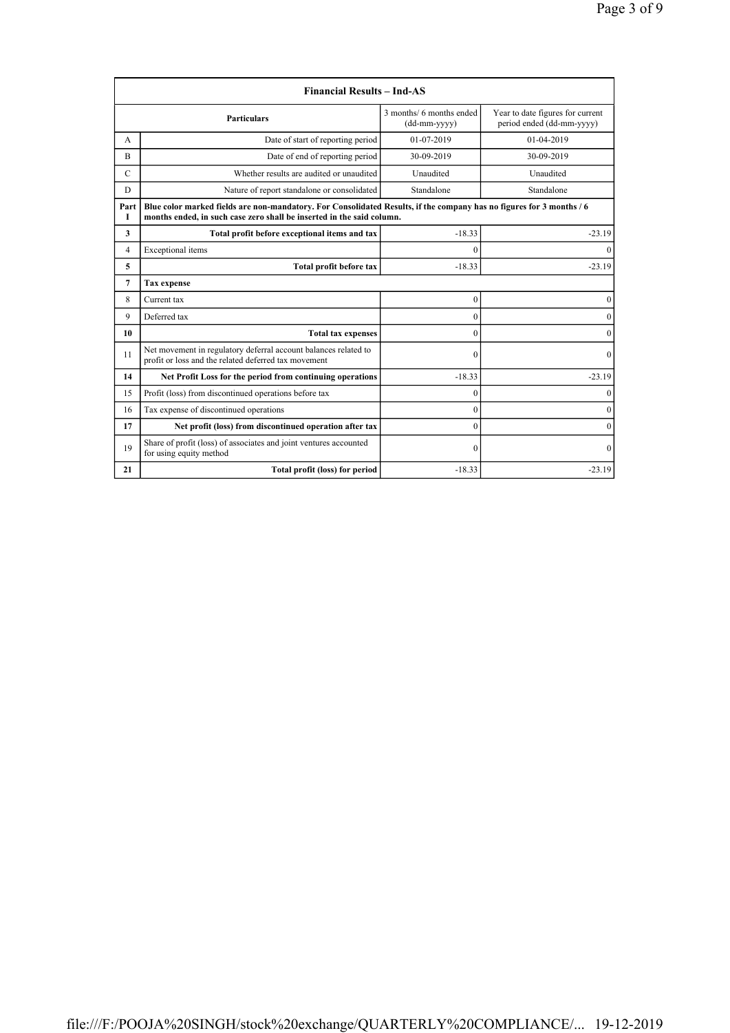|             | <b>Financial Results - Ind-AS</b>                                                                                                                                                             |                                          |                                                               |
|-------------|-----------------------------------------------------------------------------------------------------------------------------------------------------------------------------------------------|------------------------------------------|---------------------------------------------------------------|
|             | <b>Particulars</b>                                                                                                                                                                            | 3 months/ 6 months ended<br>(dd-mm-yyyy) | Year to date figures for current<br>period ended (dd-mm-yyyy) |
| А           | Date of start of reporting period                                                                                                                                                             | 01-07-2019                               | 01-04-2019                                                    |
| B           | Date of end of reporting period                                                                                                                                                               | 30-09-2019                               | 30-09-2019                                                    |
| $\mathbf C$ | Whether results are audited or unaudited                                                                                                                                                      | Unaudited                                | Unaudited                                                     |
| D           | Nature of report standalone or consolidated                                                                                                                                                   | Standalone                               | Standalone                                                    |
| Part<br>Т   | Blue color marked fields are non-mandatory. For Consolidated Results, if the company has no figures for 3 months / 6<br>months ended, in such case zero shall be inserted in the said column. |                                          |                                                               |
| 3           | Total profit before exceptional items and tax                                                                                                                                                 | $-18.33$                                 | $-23.19$                                                      |
| 4           | Exceptional items                                                                                                                                                                             | $\Omega$                                 | $\Omega$                                                      |
| 5           | Total profit before tax                                                                                                                                                                       | $-18.33$                                 | $-23.19$                                                      |
| 7           | <b>Tax expense</b>                                                                                                                                                                            |                                          |                                                               |
| 8           | Current tax                                                                                                                                                                                   | $\mathbf{0}$                             | 0                                                             |
| 9           | Deferred tax                                                                                                                                                                                  | $\theta$                                 | $\Omega$                                                      |
| 10          | <b>Total tax expenses</b>                                                                                                                                                                     | $\mathbf{0}$                             | $\mathbf{0}$                                                  |
| 11          | Net movement in regulatory deferral account balances related to<br>profit or loss and the related deferred tax movement                                                                       | $\mathbf{0}$                             | $\mathbf{0}$                                                  |
| 14          | Net Profit Loss for the period from continuing operations                                                                                                                                     | $-18.33$                                 | $-23.19$                                                      |
| 15          | Profit (loss) from discontinued operations before tax                                                                                                                                         | $\mathbf{0}$                             | $\mathbf{0}$                                                  |
| 16          | Tax expense of discontinued operations                                                                                                                                                        | $\theta$                                 | $\Omega$                                                      |
| 17          | Net profit (loss) from discontinued operation after tax                                                                                                                                       | $\theta$                                 | $\mathbf{0}$                                                  |
| 19          | Share of profit (loss) of associates and joint ventures accounted<br>for using equity method                                                                                                  | $\Omega$                                 | $\Omega$                                                      |
| 21          | Total profit (loss) for period                                                                                                                                                                | $-18.33$                                 | $-23.19$                                                      |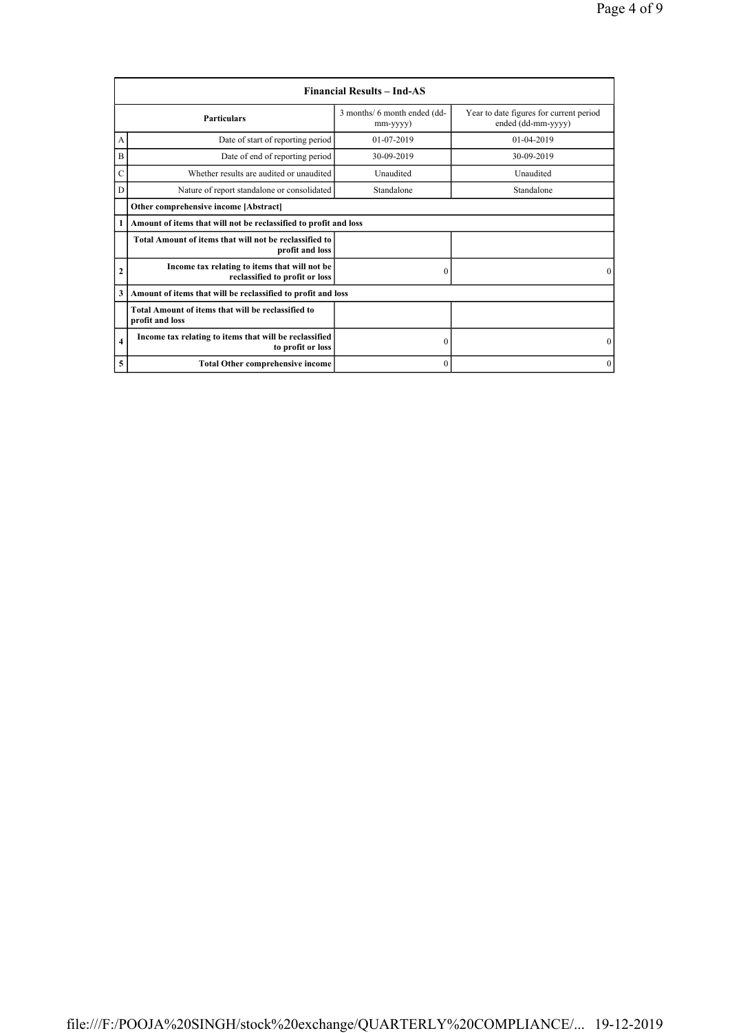|                | <b>Financial Results – Ind-AS</b>                                               |                                          |                                                               |
|----------------|---------------------------------------------------------------------------------|------------------------------------------|---------------------------------------------------------------|
|                | <b>Particulars</b>                                                              | 3 months/ 6 month ended (dd-<br>mm-yyyy) | Year to date figures for current period<br>ended (dd-mm-yyyy) |
| А              | Date of start of reporting period                                               | $01-07-2019$                             | $01-04-2019$                                                  |
| B              | Date of end of reporting period                                                 | 30-09-2019                               | 30-09-2019                                                    |
| Ċ              | Whether results are audited or unaudited                                        | Unaudited                                | Unaudited                                                     |
| D              | Nature of report standalone or consolidated                                     | Standalone                               | Standalone                                                    |
|                | Other comprehensive income [Abstract]                                           |                                          |                                                               |
| 1              | Amount of items that will not be reclassified to profit and loss                |                                          |                                                               |
|                | Total Amount of items that will not be reclassified to<br>profit and loss       |                                          |                                                               |
| $\overline{2}$ | Income tax relating to items that will not be<br>reclassified to profit or loss | $\theta$                                 | $\Omega$                                                      |
| 3              | Amount of items that will be reclassified to profit and loss                    |                                          |                                                               |
|                | Total Amount of items that will be reclassified to<br>profit and loss           |                                          |                                                               |
| $\overline{4}$ | Income tax relating to items that will be reclassified<br>to profit or loss     | $\boldsymbol{0}$                         | $\mathbf{0}$                                                  |
| 5              | <b>Total Other comprehensive income</b>                                         | $\mathbf{0}$                             | $\mathbf{0}$                                                  |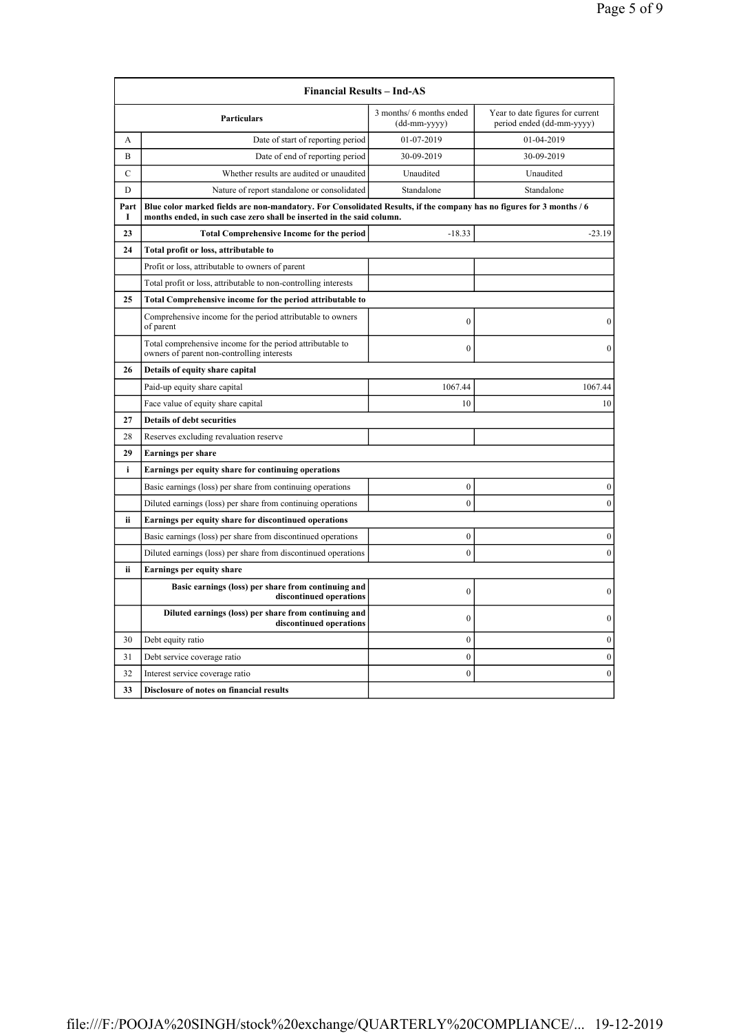|                                                             | <b>Financial Results - Ind-AS</b>                                                                                                                                                             |                                          |                                                               |
|-------------------------------------------------------------|-----------------------------------------------------------------------------------------------------------------------------------------------------------------------------------------------|------------------------------------------|---------------------------------------------------------------|
|                                                             | Particulars                                                                                                                                                                                   | 3 months/ 6 months ended<br>(dd-mm-yyyy) | Year to date figures for current<br>period ended (dd-mm-yyyy) |
| А                                                           | Date of start of reporting period                                                                                                                                                             | 01-07-2019                               | 01-04-2019                                                    |
| B                                                           | Date of end of reporting period                                                                                                                                                               | 30-09-2019                               | 30-09-2019                                                    |
| C                                                           | Whether results are audited or unaudited                                                                                                                                                      | Unaudited                                | Unaudited                                                     |
| D                                                           | Nature of report standalone or consolidated                                                                                                                                                   | Standalone                               | Standalone                                                    |
| Part<br>I                                                   | Blue color marked fields are non-mandatory. For Consolidated Results, if the company has no figures for 3 months / 6<br>months ended, in such case zero shall be inserted in the said column. |                                          |                                                               |
| 23                                                          | <b>Total Comprehensive Income for the period</b>                                                                                                                                              | $-18.33$                                 | $-23.19$                                                      |
| 24                                                          | Total profit or loss, attributable to                                                                                                                                                         |                                          |                                                               |
|                                                             | Profit or loss, attributable to owners of parent                                                                                                                                              |                                          |                                                               |
|                                                             | Total profit or loss, attributable to non-controlling interests                                                                                                                               |                                          |                                                               |
| 25                                                          | Total Comprehensive income for the period attributable to                                                                                                                                     |                                          |                                                               |
|                                                             | Comprehensive income for the period attributable to owners<br>of parent                                                                                                                       | $\theta$                                 | $\theta$                                                      |
|                                                             | Total comprehensive income for the period attributable to<br>owners of parent non-controlling interests                                                                                       | $\mathbf{0}$                             | $\mathbf{0}$                                                  |
| 26                                                          | Details of equity share capital                                                                                                                                                               |                                          |                                                               |
|                                                             | Paid-up equity share capital                                                                                                                                                                  | 1067.44                                  | 1067.44                                                       |
|                                                             | Face value of equity share capital                                                                                                                                                            | 10                                       | 10                                                            |
| 27                                                          | <b>Details of debt securities</b>                                                                                                                                                             |                                          |                                                               |
| 28                                                          | Reserves excluding revaluation reserve                                                                                                                                                        |                                          |                                                               |
| 29                                                          | <b>Earnings per share</b>                                                                                                                                                                     |                                          |                                                               |
| i                                                           | Earnings per equity share for continuing operations                                                                                                                                           |                                          |                                                               |
|                                                             | Basic earnings (loss) per share from continuing operations                                                                                                                                    | $\mathbf{0}$                             | $\mathbf{0}$                                                  |
|                                                             | Diluted earnings (loss) per share from continuing operations                                                                                                                                  | $\mathbf{0}$                             | $\mathbf{0}$                                                  |
| ii<br>Earnings per equity share for discontinued operations |                                                                                                                                                                                               |                                          |                                                               |
|                                                             | Basic earnings (loss) per share from discontinued operations                                                                                                                                  | $\mathbf{0}$                             | $\boldsymbol{0}$                                              |
|                                                             | Diluted earnings (loss) per share from discontinued operations                                                                                                                                | $\mathbf{0}$                             | $\boldsymbol{0}$                                              |
| ii<br>Earnings per equity share                             |                                                                                                                                                                                               |                                          |                                                               |
|                                                             | Basic earnings (loss) per share from continuing and<br>discontinued operations                                                                                                                | $\boldsymbol{0}$                         | $\boldsymbol{0}$                                              |
|                                                             | Diluted earnings (loss) per share from continuing and<br>discontinued operations                                                                                                              | $\theta$                                 | $\mathbf{0}$                                                  |
| 30                                                          | Debt equity ratio                                                                                                                                                                             | $\theta$                                 | $\boldsymbol{0}$                                              |
| 31                                                          | Debt service coverage ratio                                                                                                                                                                   | $\mathbf{0}$                             | $\mathbf{0}$                                                  |
| 32                                                          | Interest service coverage ratio                                                                                                                                                               | $\mathbf{0}$                             | $\mathbf{0}$                                                  |
| 33                                                          | Disclosure of notes on financial results                                                                                                                                                      |                                          |                                                               |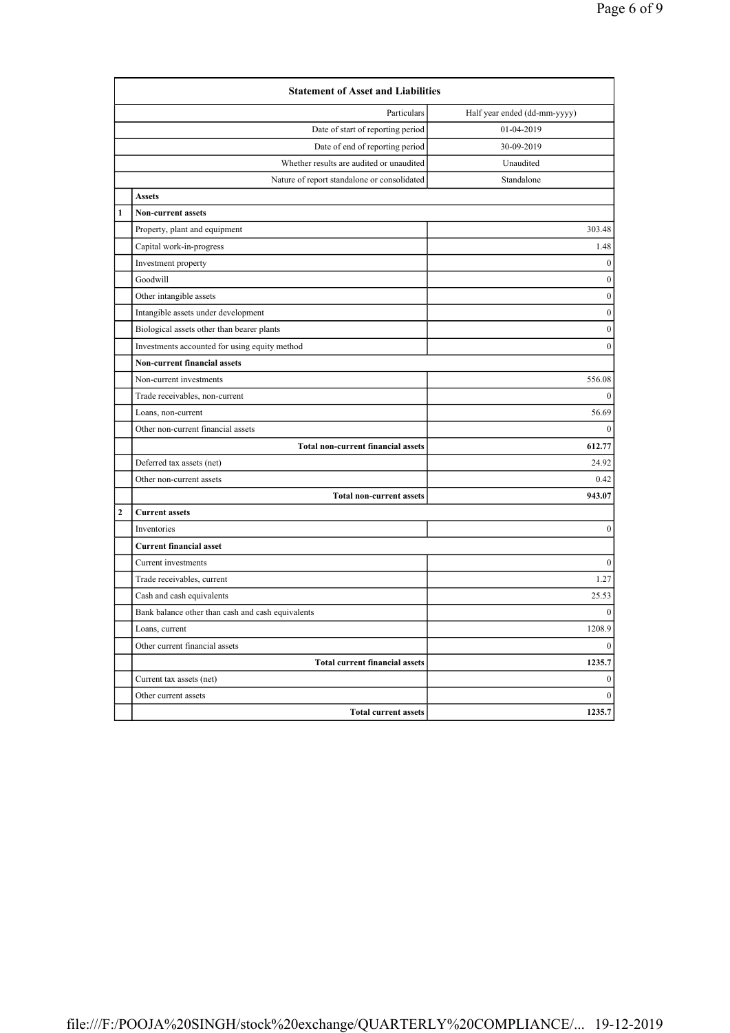|                                               | <b>Statement of Asset and Liabilities</b>         |                              |
|-----------------------------------------------|---------------------------------------------------|------------------------------|
|                                               | Particulars                                       | Half year ended (dd-mm-yyyy) |
|                                               | Date of start of reporting period                 | 01-04-2019                   |
|                                               | Date of end of reporting period                   | 30-09-2019                   |
|                                               | Whether results are audited or unaudited          | Unaudited                    |
|                                               | Nature of report standalone or consolidated       | Standalone                   |
|                                               | <b>Assets</b>                                     |                              |
| 1                                             | Non-current assets                                |                              |
|                                               | Property, plant and equipment                     | 303.48                       |
|                                               | Capital work-in-progress                          | 1.48                         |
|                                               | Investment property                               | $\mathbf{0}$                 |
|                                               | Goodwill                                          | $\boldsymbol{0}$             |
|                                               | Other intangible assets                           | $\boldsymbol{0}$             |
|                                               | Intangible assets under development               | $\mathbf{0}$                 |
|                                               | Biological assets other than bearer plants        | $\boldsymbol{0}$             |
| Investments accounted for using equity method |                                                   | $\overline{0}$               |
| Non-current financial assets                  |                                                   |                              |
|                                               | Non-current investments                           | 556.08                       |
|                                               | Trade receivables, non-current                    | $\Omega$                     |
|                                               | Loans, non-current                                | 56.69                        |
| Other non-current financial assets            |                                                   | $\theta$                     |
|                                               | <b>Total non-current financial assets</b>         | 612.77                       |
|                                               | Deferred tax assets (net)                         | 24.92                        |
|                                               | Other non-current assets                          | 0.42                         |
| <b>Total non-current assets</b>               |                                                   | 943.07                       |
| $\overline{2}$                                | <b>Current assets</b>                             |                              |
|                                               | Inventories                                       | 0                            |
|                                               | <b>Current financial asset</b>                    |                              |
|                                               | Current investments                               | $\boldsymbol{0}$             |
|                                               | Trade receivables, current                        | 1.27                         |
|                                               | Cash and cash equivalents                         | 25.53                        |
|                                               | Bank balance other than cash and cash equivalents | $\mathbf{0}$                 |
|                                               | Loans, current                                    | 1208.9                       |
|                                               | Other current financial assets                    | $\mathbf{0}$                 |
|                                               | <b>Total current financial assets</b>             | 1235.7                       |
|                                               | Current tax assets (net)                          | $\boldsymbol{0}$             |
|                                               | Other current assets                              | $\theta$                     |
|                                               | <b>Total current assets</b>                       | 1235.7                       |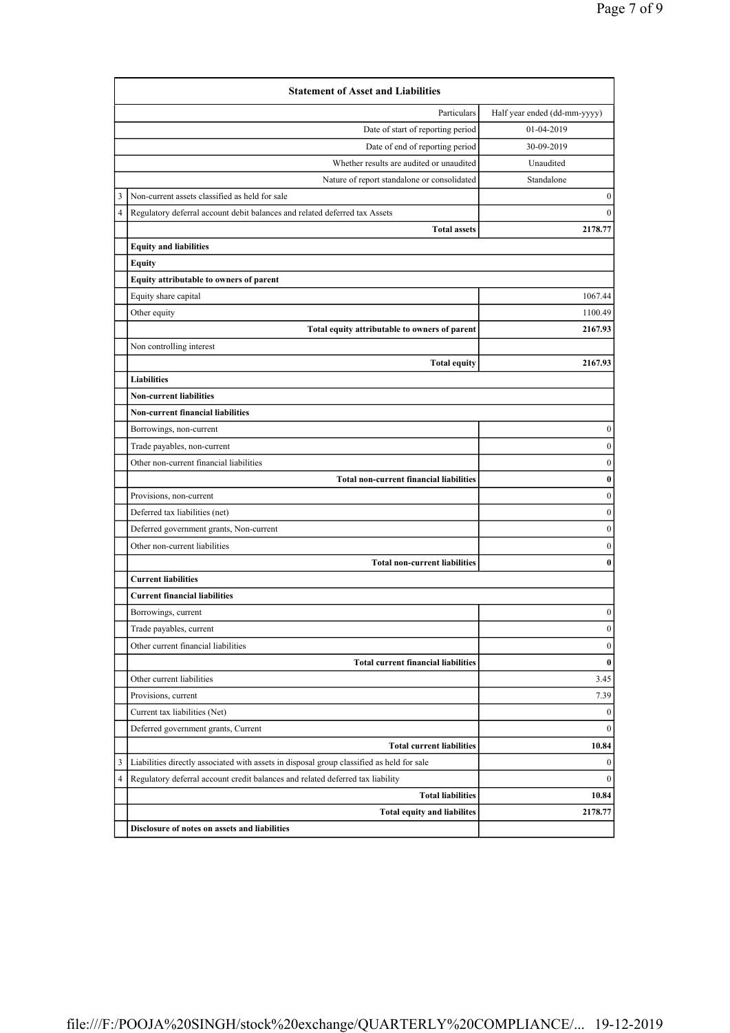|                                             | <b>Statement of Asset and Liabilities</b>                                                 |                  |  |
|---------------------------------------------|-------------------------------------------------------------------------------------------|------------------|--|
| Particulars<br>Half year ended (dd-mm-yyyy) |                                                                                           |                  |  |
|                                             | Date of start of reporting period                                                         | 01-04-2019       |  |
|                                             | Date of end of reporting period                                                           | 30-09-2019       |  |
|                                             | Whether results are audited or unaudited                                                  | Unaudited        |  |
|                                             | Nature of report standalone or consolidated                                               | Standalone       |  |
| 3                                           | Non-current assets classified as held for sale                                            | $\boldsymbol{0}$ |  |
| 4                                           | Regulatory deferral account debit balances and related deferred tax Assets                | $\mathbf{0}$     |  |
|                                             | <b>Total assets</b>                                                                       | 2178.77          |  |
|                                             | <b>Equity and liabilities</b>                                                             |                  |  |
|                                             | <b>Equity</b>                                                                             |                  |  |
|                                             | Equity attributable to owners of parent                                                   |                  |  |
|                                             | Equity share capital                                                                      | 1067.44          |  |
|                                             | Other equity                                                                              | 1100.49          |  |
|                                             | Total equity attributable to owners of parent                                             | 2167.93          |  |
|                                             | Non controlling interest                                                                  |                  |  |
|                                             | <b>Total equity</b>                                                                       | 2167.93          |  |
|                                             | <b>Liabilities</b>                                                                        |                  |  |
|                                             | <b>Non-current liabilities</b>                                                            |                  |  |
|                                             | <b>Non-current financial liabilities</b>                                                  |                  |  |
|                                             | Borrowings, non-current                                                                   | $\boldsymbol{0}$ |  |
|                                             | Trade payables, non-current                                                               | $\boldsymbol{0}$ |  |
|                                             | Other non-current financial liabilities                                                   | $\boldsymbol{0}$ |  |
|                                             | <b>Total non-current financial liabilities</b>                                            | $\pmb{0}$        |  |
|                                             | Provisions, non-current                                                                   | $\boldsymbol{0}$ |  |
|                                             | Deferred tax liabilities (net)                                                            | $\boldsymbol{0}$ |  |
|                                             | Deferred government grants, Non-current                                                   | $\boldsymbol{0}$ |  |
|                                             | Other non-current liabilities                                                             | $\boldsymbol{0}$ |  |
|                                             | <b>Total non-current liabilities</b>                                                      | $\bf{0}$         |  |
| <b>Current liabilities</b>                  |                                                                                           |                  |  |
|                                             | <b>Current financial liabilities</b>                                                      |                  |  |
|                                             | Borrowings, current                                                                       | $\boldsymbol{0}$ |  |
|                                             | Trade payables, current                                                                   | $\boldsymbol{0}$ |  |
|                                             | Other current financial liabilities                                                       | $\boldsymbol{0}$ |  |
|                                             | <b>Total current financial liabilities</b>                                                | $\bf{0}$         |  |
|                                             | Other current liabilities                                                                 | 3.45             |  |
|                                             | Provisions, current                                                                       | 7.39             |  |
|                                             | Current tax liabilities (Net)                                                             | $\boldsymbol{0}$ |  |
|                                             | Deferred government grants, Current                                                       | $\boldsymbol{0}$ |  |
|                                             | <b>Total current liabilities</b>                                                          | 10.84            |  |
| 3                                           | Liabilities directly associated with assets in disposal group classified as held for sale | $\boldsymbol{0}$ |  |
| 4                                           | Regulatory deferral account credit balances and related deferred tax liability            | $\mathbf{0}$     |  |
|                                             | <b>Total liabilities</b>                                                                  | 10.84            |  |
|                                             | <b>Total equity and liabilites</b>                                                        | 2178.77          |  |
|                                             | Disclosure of notes on assets and liabilities                                             |                  |  |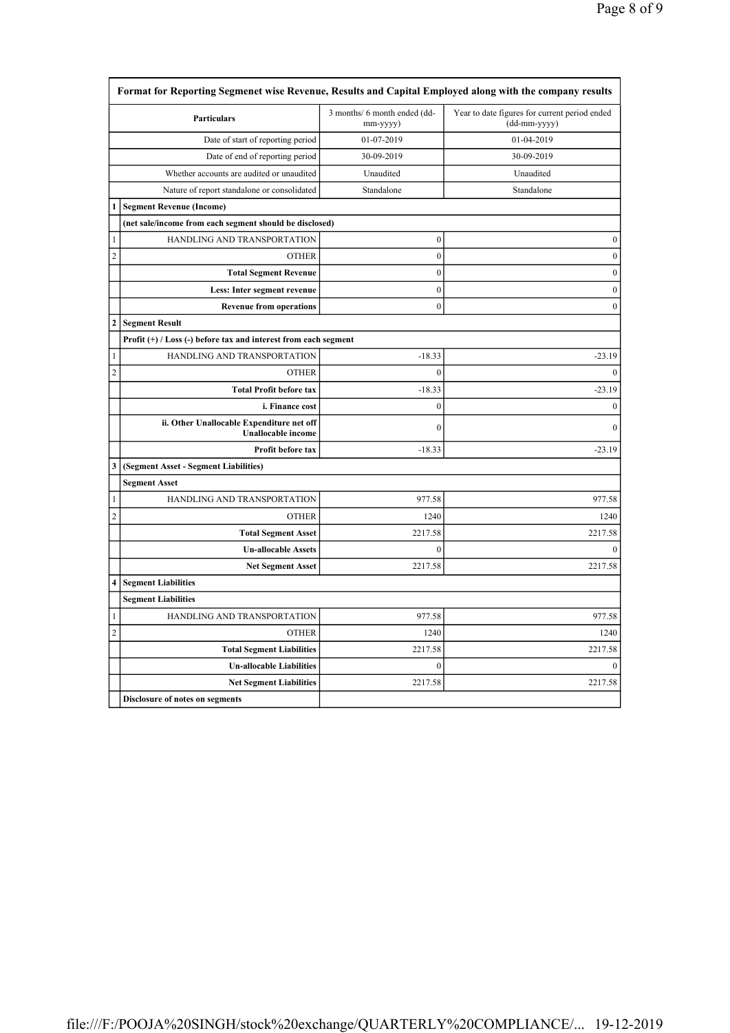|                | <b>Particulars</b>                                                     | 3 months/ 6 month ended (dd-<br>mm-yyyy) | Year to date figures for current period ended<br>(dd-mm-yyyy) |
|----------------|------------------------------------------------------------------------|------------------------------------------|---------------------------------------------------------------|
|                | Date of start of reporting period                                      | 01-07-2019                               | 01-04-2019                                                    |
|                | Date of end of reporting period                                        | 30-09-2019                               | 30-09-2019                                                    |
|                | Whether accounts are audited or unaudited                              | Unaudited                                | Unaudited                                                     |
|                | Nature of report standalone or consolidated                            | Standalone                               | Standalone                                                    |
| 1              | <b>Segment Revenue (Income)</b>                                        |                                          |                                                               |
|                | (net sale/income from each segment should be disclosed)                |                                          |                                                               |
| 1              | HANDLING AND TRANSPORTATION                                            | $\boldsymbol{0}$                         | $\boldsymbol{0}$                                              |
| 2              | <b>OTHER</b>                                                           | $\boldsymbol{0}$                         | $\boldsymbol{0}$                                              |
|                | <b>Total Segment Revenue</b>                                           | $\boldsymbol{0}$                         | $\boldsymbol{0}$                                              |
|                | Less: Inter segment revenue                                            | $\mathbf{0}$                             | $\boldsymbol{0}$                                              |
|                | <b>Revenue from operations</b>                                         | $\boldsymbol{0}$                         | $\boldsymbol{0}$                                              |
| 2              | <b>Segment Result</b>                                                  |                                          |                                                               |
|                | Profit (+) / Loss (-) before tax and interest from each segment        |                                          |                                                               |
| 1              | HANDLING AND TRANSPORTATION                                            | $-18.33$                                 | $-23.19$                                                      |
| 2              | <b>OTHER</b>                                                           | $\theta$                                 | $\theta$                                                      |
|                | <b>Total Profit before tax</b>                                         | $-18.33$                                 | $-23.19$                                                      |
|                | i. Finance cost                                                        | $\mathbf{0}$                             | $\mathbf{0}$                                                  |
|                | ii. Other Unallocable Expenditure net off<br><b>Unallocable</b> income | $\mathbf{0}$                             | $\theta$                                                      |
|                | Profit before tax                                                      | $-18.33$                                 | $-23.19$                                                      |
| 3              | (Segment Asset - Segment Liabilities)                                  |                                          |                                                               |
|                | <b>Segment Asset</b>                                                   |                                          |                                                               |
| 1              | HANDLING AND TRANSPORTATION                                            | 977.58                                   | 977.58                                                        |
| $\overline{c}$ | <b>OTHER</b>                                                           | 1240                                     | 1240                                                          |
|                | <b>Total Segment Asset</b>                                             | 2217.58                                  | 2217.58                                                       |
|                | <b>Un-allocable Assets</b>                                             | $\mathbf{0}$                             | $\mathbf{0}$                                                  |
|                | <b>Net Segment Asset</b>                                               | 2217.58                                  | 2217.58                                                       |
| 4              | <b>Segment Liabilities</b>                                             |                                          |                                                               |
|                | <b>Segment Liabilities</b>                                             |                                          |                                                               |
| 1              | HANDLING AND TRANSPORTATION                                            | 977.58                                   | 977.58                                                        |
| 2              | <b>OTHER</b>                                                           | 1240                                     | 1240                                                          |
|                | <b>Total Segment Liabilities</b>                                       | 2217.58                                  | 2217.58                                                       |
|                |                                                                        |                                          |                                                               |
|                | <b>Un-allocable Liabilities</b>                                        | $\boldsymbol{0}$                         | $\boldsymbol{0}$                                              |